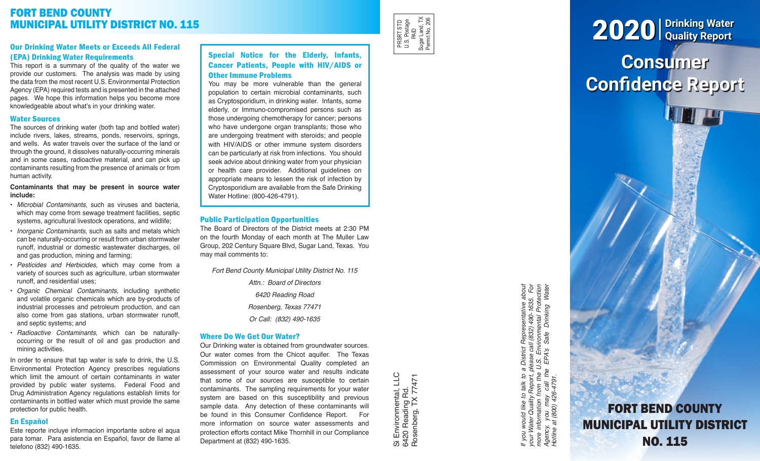# FORT BEND COUNTY MUNICIPAL UTILITY DISTRICT NO. 115

# Our Drinking Water Meets or Exceeds All Federal (EPA) Drinking Water Requirements

This report is a summary of the quality of the water we provide our customers. The analysis was made by using the data from the most recent U.S. Environmental Protection Agency (EPA) required tests and is presented in the attached pages. We hope this information helps you become more knowledgeable about what's in your drinking water.

## Water Sources

The sources of drinking water (both tap and bottled water) include rivers, lakes, streams, ponds, reservoirs, springs, and wells. As water travels over the surface of the land or through the ground, it dissolves naturally-occurring minerals and in some cases, radioactive material, and can pick up contaminants resulting from the presence of animals or from human activity.

#### **Contaminants that may be present in source water include:**

- *Microbial Contaminants*, such as viruses and bacteria, which may come from sewage treatment facilities, septic systems, agricultural livestock operations, and wildlife;
- *Inorganic Contaminants*, such as salts and metals which can be naturally-occurring or result from urban stormwater runoff, industrial or domestic wastewater discharges, oil and gas production, mining and farming;
- *Pesticides and Herbicides*, which may come from a variety of sources such as agriculture, urban stormwater runoff, and residential uses;
- *Organic Chemical Contaminants*, including synthetic and volatile organic chemicals which are by-products of industrial processes and petroleum production, and can also come from gas stations, urban stormwater runoff, and septic systems; and
- *Radioactive Contaminants*, which can be naturallyoccurring or the result of oil and gas production and mining activities.

In order to ensure that tap water is safe to drink, the U.S. Environmental Protection Agency prescribes regulations which limit the amount of certain contaminants in water provided by public water systems. Federal Food and Drug Administration Agency regulations establish limits for contaminants in bottled water which must provide the same protection for public health.

# En Español

Este reporte incluye informacion importante sobre el aqua para tomar. Para asistencia en Español, favor de llame al telefono (832) 490-1635.

# Special Notice for the Elderly, Infants, Cancer Patients, People with HIV/AIDS or Other Immune Problems

You may be more vulnerable than the general population to certain microbial contaminants, such as Cryptosporidium, in drinking water. Infants, some elderly, or Immuno-compromised persons such as those undergoing chemotherapy for cancer; persons who have undergone organ transplants; those who are undergoing treatment with steroids; and people with HIV/AIDS or other immune system disorders can be particularly at risk from infections. You should seek advice about drinking water from your physician or health care provider. Additional guidelines on appropriate means to lessen the risk of infection by Cryptosporidium are available from the Safe Drinking Water Hotline: (800-426-4791).

# Public Participation Opportunities

The Board of Directors of the District meets at 2:30 PM on the fourth Monday of each month at The Muller Law Group, 202 Century Square Blvd, Sugar Land, Texas. You may mail comments to:

*Fort Bend County Municipal Utility District No. 115*

*Attn.: Board of Directors 6420 Reading Road Rosenberg, Texas 77471 Or Call: (832) 490-1635*

# Where Do We Get Our Water?

Our Drinking water is obtained from groundwater sources. Our water comes from the Chicot aquifer. The Texas Commission on Environmental Quality completed an assessment of your source water and results indicate that some of our sources are susceptible to certain contaminants. The sampling requirements for your water system are based on this susceptibility and previous sample data. Any detection of these contaminants will be found in this Consumer Confidence Report. For more information on source water assessments and protection efforts contact Mike Thornhill in our Compliance Department at (832) 490-1635.

Si Environmental, LLC<br>6420 Reading Rd.<br>Rosenberg, TX 77471 Si Environmental, LLC Rosenberg, TX 77471 6420 Reading Rd.

PRSRT STD U.S. Postage PRSRT STD<br>U.S. Postage<br>Sugar Land, TX<br>Sugar Land, TX<br>Permit No. 206 Sugar Land, TX Permit No. 206

> If you would like to talk to a District Representative about<br>your Water Quality Report, please call (832) 490-1635. For<br>more information from the U.S. Environmental Protection<br>Agency, you may call the EPA's Safe Drinking W *If you would like to talk to a District Representative about your Water Quality Report, please call (832) 490-1635. For more information from the U.S. Environmental Protection Agency, you may call the EPA's Safe Drinking Water Hotline at (800) 426-4791.*

# **Consumer Confidence Report** 2020 **Drinking Water Quality Report**

FORT BEND COUNTY MUNICIPAL UTILITY DISTRICT NO. 115